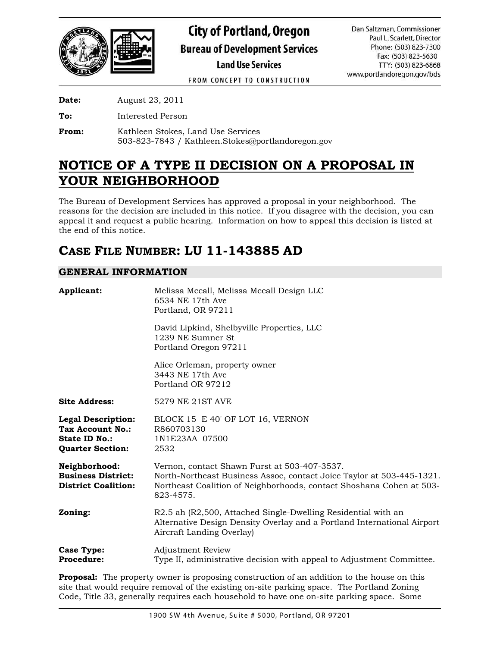

FROM CONCEPT TO CONSTRUCTION

**Date:** August 23, 2011

**To:** Interested Person

**From:** Kathleen Stokes, Land Use Services 503-823-7843 / Kathleen.Stokes@portlandoregon.gov

# **NOTICE OF A TYPE II DECISION ON A PROPOSAL IN YOUR NEIGHBORHOOD**

The Bureau of Development Services has approved a proposal in your neighborhood. The reasons for the decision are included in this notice. If you disagree with the decision, you can appeal it and request a public hearing. Information on how to appeal this decision is listed at the end of this notice.

# **CASE FILE NUMBER: LU 11-143885 AD**

# **GENERAL INFORMATION**

| Applicant:                                                                                       | Melissa Mccall, Melissa Mccall Design LLC<br>6534 NE 17th Ave<br>Portland, OR 97211                                                                                                                        |
|--------------------------------------------------------------------------------------------------|------------------------------------------------------------------------------------------------------------------------------------------------------------------------------------------------------------|
|                                                                                                  | David Lipkind, Shelbyville Properties, LLC<br>1239 NE Sumner St<br>Portland Oregon 97211                                                                                                                   |
|                                                                                                  | Alice Orleman, property owner<br>3443 NE 17th Ave<br>Portland OR 97212                                                                                                                                     |
| <b>Site Address:</b>                                                                             | 5279 NE 21ST AVE                                                                                                                                                                                           |
| <b>Legal Description:</b><br>Tax Account No.:<br><b>State ID No.:</b><br><b>Quarter Section:</b> | BLOCK 15 E 40' OF LOT 16, VERNON<br>R860703130<br>1N1E23AA 07500<br>2532                                                                                                                                   |
| Neighborhood:<br><b>Business District:</b><br><b>District Coalition:</b>                         | Vernon, contact Shawn Furst at 503-407-3537.<br>North-Northeast Business Assoc, contact Joice Taylor at 503-445-1321.<br>Northeast Coalition of Neighborhoods, contact Shoshana Cohen at 503-<br>823-4575. |
| Zoning:                                                                                          | R2.5 ah (R2,500, Attached Single-Dwelling Residential with an<br>Alternative Design Density Overlay and a Portland International Airport<br>Aircraft Landing Overlay)                                      |
| Case Type:<br><b>Procedure:</b>                                                                  | Adjustment Review<br>Type II, administrative decision with appeal to Adjustment Committee.                                                                                                                 |

**Proposal:** The property owner is proposing construction of an addition to the house on this site that would require removal of the existing on-site parking space. The Portland Zoning Code, Title 33, generally requires each household to have one on-site parking space. Some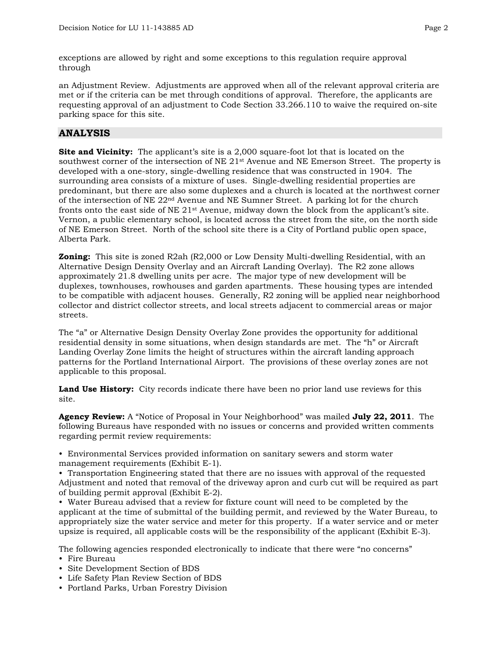exceptions are allowed by right and some exceptions to this regulation require approval through

an Adjustment Review. Adjustments are approved when all of the relevant approval criteria are met or if the criteria can be met through conditions of approval. Therefore, the applicants are requesting approval of an adjustment to Code Section 33.266.110 to waive the required on-site parking space for this site.

## **ANALYSIS**

**Site and Vicinity:** The applicant's site is a 2,000 square-foot lot that is located on the southwest corner of the intersection of NE 21<sup>st</sup> Avenue and NE Emerson Street. The property is developed with a one-story, single-dwelling residence that was constructed in 1904. The surrounding area consists of a mixture of uses. Single-dwelling residential properties are predominant, but there are also some duplexes and a church is located at the northwest corner of the intersection of NE 22nd Avenue and NE Sumner Street. A parking lot for the church fronts onto the east side of NE 21st Avenue, midway down the block from the applicant's site. Vernon, a public elementary school, is located across the street from the site, on the north side of NE Emerson Street. North of the school site there is a City of Portland public open space, Alberta Park.

**Zoning:** This site is zoned R2ah (R2,000 or Low Density Multi-dwelling Residential, with an Alternative Design Density Overlay and an Aircraft Landing Overlay). The R2 zone allows approximately 21.8 dwelling units per acre. The major type of new development will be duplexes, townhouses, rowhouses and garden apartments. These housing types are intended to be compatible with adjacent houses. Generally, R2 zoning will be applied near neighborhood collector and district collector streets, and local streets adjacent to commercial areas or major streets.

The "a" or Alternative Design Density Overlay Zone provides the opportunity for additional residential density in some situations, when design standards are met. The "h" or Aircraft Landing Overlay Zone limits the height of structures within the aircraft landing approach patterns for the Portland International Airport. The provisions of these overlay zones are not applicable to this proposal.

**Land Use History:** City records indicate there have been no prior land use reviews for this site.

**Agency Review:** A "Notice of Proposal in Your Neighborhood" was mailed **July 22, 2011**. The following Bureaus have responded with no issues or concerns and provided written comments regarding permit review requirements:

• Environmental Services provided information on sanitary sewers and storm water management requirements (Exhibit E-1).

• Transportation Engineering stated that there are no issues with approval of the requested Adjustment and noted that removal of the driveway apron and curb cut will be required as part of building permit approval (Exhibit E-2).

• Water Bureau advised that a review for fixture count will need to be completed by the applicant at the time of submittal of the building permit, and reviewed by the Water Bureau, to appropriately size the water service and meter for this property. If a water service and or meter upsize is required, all applicable costs will be the responsibility of the applicant (Exhibit E-3).

The following agencies responded electronically to indicate that there were "no concerns"

- Fire Bureau
- Site Development Section of BDS
- Life Safety Plan Review Section of BDS
- Portland Parks, Urban Forestry Division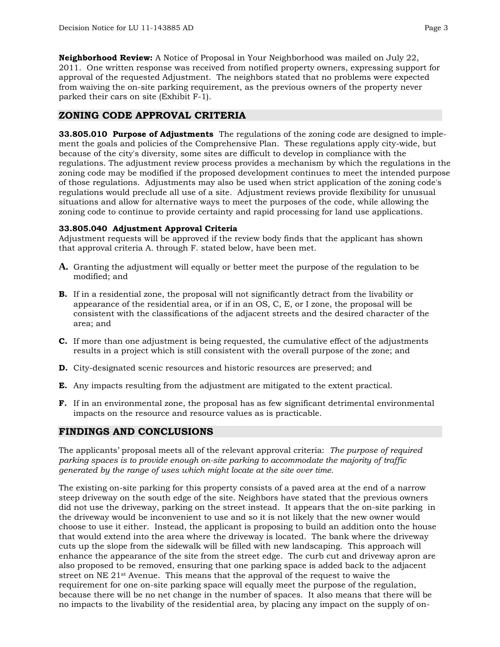**Neighborhood Review:** A Notice of Proposal in Your Neighborhood was mailed on July 22, 2011. One written response was received from notified property owners, expressing support for approval of the requested Adjustment. The neighbors stated that no problems were expected from waiving the on-site parking requirement, as the previous owners of the property never parked their cars on site (Exhibit F-1).

## **ZONING CODE APPROVAL CRITERIA**

**33.805.010 Purpose of Adjustments** The regulations of the zoning code are designed to implement the goals and policies of the Comprehensive Plan. These regulations apply city-wide, but because of the city's diversity, some sites are difficult to develop in compliance with the regulations. The adjustment review process provides a mechanism by which the regulations in the zoning code may be modified if the proposed development continues to meet the intended purpose of those regulations. Adjustments may also be used when strict application of the zoning code's regulations would preclude all use of a site. Adjustment reviews provide flexibility for unusual situations and allow for alternative ways to meet the purposes of the code, while allowing the zoning code to continue to provide certainty and rapid processing for land use applications.

#### **33.805.040 Adjustment Approval Criteria**

Adjustment requests will be approved if the review body finds that the applicant has shown that approval criteria A. through F. stated below, have been met.

- **A.** Granting the adjustment will equally or better meet the purpose of the regulation to be modified; and
- **B.** If in a residential zone, the proposal will not significantly detract from the livability or appearance of the residential area, or if in an OS, C, E, or I zone, the proposal will be consistent with the classifications of the adjacent streets and the desired character of the area; and
- **C.** If more than one adjustment is being requested, the cumulative effect of the adjustments results in a project which is still consistent with the overall purpose of the zone; and
- **D.** City-designated scenic resources and historic resources are preserved; and
- **E.** Any impacts resulting from the adjustment are mitigated to the extent practical.
- **F.** If in an environmental zone, the proposal has as few significant detrimental environmental impacts on the resource and resource values as is practicable.

## **FINDINGS AND CONCLUSIONS**

The applicants' proposal meets all of the relevant approval criteria: *The purpose of required parking spaces is to provide enough on-site parking to accommodate the majority of traffic generated by the range of uses which might locate at the site over time.* 

The existing on-site parking for this property consists of a paved area at the end of a narrow steep driveway on the south edge of the site. Neighbors have stated that the previous owners did not use the driveway, parking on the street instead. It appears that the on-site parking in the driveway would be inconvenient to use and so it is not likely that the new owner would choose to use it either. Instead, the applicant is proposing to build an addition onto the house that would extend into the area where the driveway is located. The bank where the driveway cuts up the slope from the sidewalk will be filled with new landscaping. This approach will enhance the appearance of the site from the street edge. The curb cut and driveway apron are also proposed to be removed, ensuring that one parking space is added back to the adjacent street on NE 21st Avenue. This means that the approval of the request to waive the requirement for one on-site parking space will equally meet the purpose of the regulation, because there will be no net change in the number of spaces. It also means that there will be no impacts to the livability of the residential area, by placing any impact on the supply of on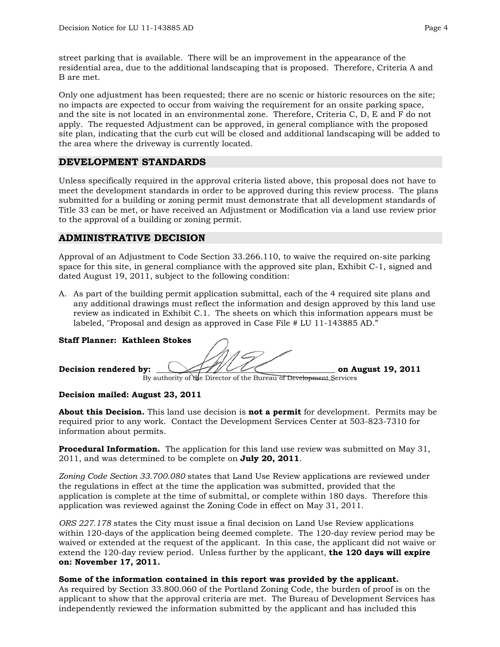street parking that is available. There will be an improvement in the appearance of the residential area, due to the additional landscaping that is proposed. Therefore, Criteria A and B are met.

Only one adjustment has been requested; there are no scenic or historic resources on the site; no impacts are expected to occur from waiving the requirement for an onsite parking space, and the site is not located in an environmental zone. Therefore, Criteria C, D, E and F do not apply. The requested Adjustment can be approved, in general compliance with the proposed site plan, indicating that the curb cut will be closed and additional landscaping will be added to the area where the driveway is currently located.

## **DEVELOPMENT STANDARDS**

Unless specifically required in the approval criteria listed above, this proposal does not have to meet the development standards in order to be approved during this review process. The plans submitted for a building or zoning permit must demonstrate that all development standards of Title 33 can be met, or have received an Adjustment or Modification via a land use review prior to the approval of a building or zoning permit.

# **ADMINISTRATIVE DECISION**

Approval of an Adjustment to Code Section 33.266.110, to waive the required on-site parking space for this site, in general compliance with the approved site plan, Exhibit C-1, signed and dated August 19, 2011, subject to the following condition:

A. As part of the building permit application submittal, each of the 4 required site plans and any additional drawings must reflect the information and design approved by this land use review as indicated in Exhibit C.1. The sheets on which this information appears must be labeled, "Proposal and design as approved in Case File # LU 11-143885 AD."

## **Staff Planner: Kathleen Stokes**

**Decision rendered by:**  $\left\langle \frac{1}{2} \right\rangle$  /  $\left\langle \frac{1}{2} \right\rangle$  on August 19, 2011 By authority of the Director of the Bureau of Development Services

## **Decision mailed: August 23, 2011**

**About this Decision.** This land use decision is **not a permit** for development. Permits may be required prior to any work. Contact the Development Services Center at 503-823-7310 for information about permits.

**Procedural Information.** The application for this land use review was submitted on May 31, 2011, and was determined to be complete on **July 20, 2011**.

*Zoning Code Section 33.700.080* states that Land Use Review applications are reviewed under the regulations in effect at the time the application was submitted, provided that the application is complete at the time of submittal, or complete within 180 days. Therefore this application was reviewed against the Zoning Code in effect on May 31, 2011.

*ORS 227.178* states the City must issue a final decision on Land Use Review applications within 120-days of the application being deemed complete. The 120-day review period may be waived or extended at the request of the applicant. In this case, the applicant did not waive or extend the 120-day review period. Unless further by the applicant, **the 120 days will expire on: November 17, 2011.**

## **Some of the information contained in this report was provided by the applicant.**

As required by Section 33.800.060 of the Portland Zoning Code, the burden of proof is on the applicant to show that the approval criteria are met. The Bureau of Development Services has independently reviewed the information submitted by the applicant and has included this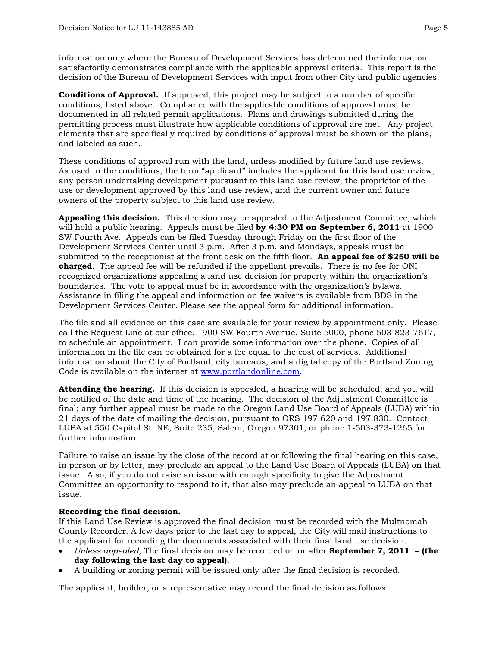information only where the Bureau of Development Services has determined the information satisfactorily demonstrates compliance with the applicable approval criteria. This report is the decision of the Bureau of Development Services with input from other City and public agencies.

**Conditions of Approval.** If approved, this project may be subject to a number of specific conditions, listed above. Compliance with the applicable conditions of approval must be documented in all related permit applications. Plans and drawings submitted during the permitting process must illustrate how applicable conditions of approval are met. Any project elements that are specifically required by conditions of approval must be shown on the plans, and labeled as such.

These conditions of approval run with the land, unless modified by future land use reviews. As used in the conditions, the term "applicant" includes the applicant for this land use review, any person undertaking development pursuant to this land use review, the proprietor of the use or development approved by this land use review, and the current owner and future owners of the property subject to this land use review.

**Appealing this decision.** This decision may be appealed to the Adjustment Committee, which will hold a public hearing. Appeals must be filed **by 4:30 PM on September 6, 2011** at 1900 SW Fourth Ave. Appeals can be filed Tuesday through Friday on the first floor of the Development Services Center until 3 p.m. After 3 p.m. and Mondays, appeals must be submitted to the receptionist at the front desk on the fifth floor. **An appeal fee of \$250 will be charged**. The appeal fee will be refunded if the appellant prevails. There is no fee for ONI recognized organizations appealing a land use decision for property within the organization's boundaries. The vote to appeal must be in accordance with the organization's bylaws. Assistance in filing the appeal and information on fee waivers is available from BDS in the Development Services Center. Please see the appeal form for additional information.

The file and all evidence on this case are available for your review by appointment only. Please call the Request Line at our office, 1900 SW Fourth Avenue, Suite 5000, phone 503-823-7617, to schedule an appointment. I can provide some information over the phone. Copies of all information in the file can be obtained for a fee equal to the cost of services. Additional information about the City of Portland, city bureaus, and a digital copy of the Portland Zoning Code is available on the internet at [www.portlandonline.com](http://www.ci.portland.or.us/).

**Attending the hearing.** If this decision is appealed, a hearing will be scheduled, and you will be notified of the date and time of the hearing. The decision of the Adjustment Committee is final; any further appeal must be made to the Oregon Land Use Board of Appeals (LUBA) within 21 days of the date of mailing the decision, pursuant to ORS 197.620 and 197.830. Contact LUBA at 550 Capitol St. NE, Suite 235, Salem, Oregon 97301, or phone 1-503-373-1265 for further information.

Failure to raise an issue by the close of the record at or following the final hearing on this case, in person or by letter, may preclude an appeal to the Land Use Board of Appeals (LUBA) on that issue. Also, if you do not raise an issue with enough specificity to give the Adjustment Committee an opportunity to respond to it, that also may preclude an appeal to LUBA on that issue.

## **Recording the final decision.**

If this Land Use Review is approved the final decision must be recorded with the Multnomah County Recorder. A few days prior to the last day to appeal, the City will mail instructions to the applicant for recording the documents associated with their final land use decision.

- *Unless appealed,* The final decision may be recorded on or after **September 7, 2011 (the day following the last day to appeal).**
- A building or zoning permit will be issued only after the final decision is recorded.

The applicant, builder, or a representative may record the final decision as follows: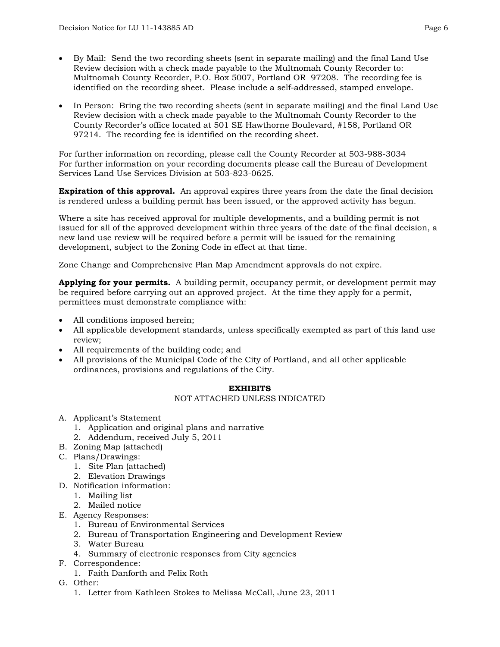- By Mail: Send the two recording sheets (sent in separate mailing) and the final Land Use Review decision with a check made payable to the Multnomah County Recorder to: Multnomah County Recorder, P.O. Box 5007, Portland OR 97208. The recording fee is identified on the recording sheet. Please include a self-addressed, stamped envelope.
- In Person: Bring the two recording sheets (sent in separate mailing) and the final Land Use Review decision with a check made payable to the Multnomah County Recorder to the County Recorder's office located at 501 SE Hawthorne Boulevard, #158, Portland OR 97214. The recording fee is identified on the recording sheet.

For further information on recording, please call the County Recorder at 503-988-3034 For further information on your recording documents please call the Bureau of Development Services Land Use Services Division at 503-823-0625.

**Expiration of this approval.** An approval expires three years from the date the final decision is rendered unless a building permit has been issued, or the approved activity has begun.

Where a site has received approval for multiple developments, and a building permit is not issued for all of the approved development within three years of the date of the final decision, a new land use review will be required before a permit will be issued for the remaining development, subject to the Zoning Code in effect at that time.

Zone Change and Comprehensive Plan Map Amendment approvals do not expire.

**Applying for your permits.** A building permit, occupancy permit, or development permit may be required before carrying out an approved project. At the time they apply for a permit, permittees must demonstrate compliance with:

- All conditions imposed herein;
- All applicable development standards, unless specifically exempted as part of this land use review;
- All requirements of the building code; and
- All provisions of the Municipal Code of the City of Portland, and all other applicable ordinances, provisions and regulations of the City.

## **EXHIBITS**

#### NOT ATTACHED UNLESS INDICATED

- A. Applicant's Statement
	- 1. Application and original plans and narrative
	- 2. Addendum, received July 5, 2011
- B. Zoning Map (attached)
- C. Plans/Drawings:
	- 1. Site Plan (attached)
	- 2. Elevation Drawings
- D. Notification information:
	- 1. Mailing list
	- 2. Mailed notice
- E. Agency Responses:
	- 1. Bureau of Environmental Services
	- 2. Bureau of Transportation Engineering and Development Review
	- 3. Water Bureau
	- 4. Summary of electronic responses from City agencies
- F. Correspondence:
	- 1. Faith Danforth and Felix Roth
- G. Other:
	- 1. Letter from Kathleen Stokes to Melissa McCall, June 23, 2011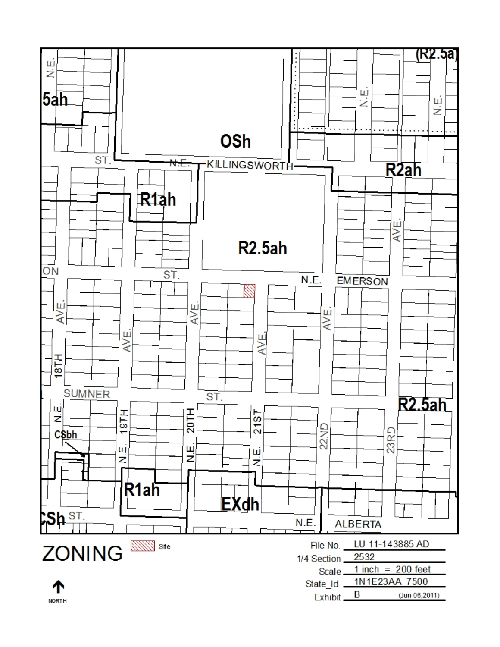